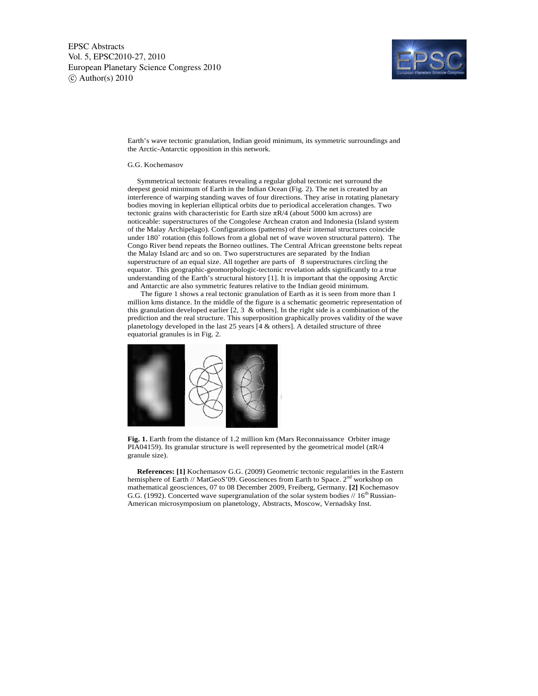

Earth's wave tectonic granulation, Indian geoid minimum, its symmetric surroundings and the Arctic-Antarctic opposition in this network.

## G.G. Kochemasov

 Symmetrical tectonic features revealing a regular global tectonic net surround the deepest geoid minimum of Earth in the Indian Ocean (Fig. 2). The net is created by an interference of warping standing waves of four directions. They arise in rotating planetary bodies moving in keplerian elliptical orbits due to periodical acceleration changes. Two tectonic grains with characteristic for Earth size  $\pi R/4$  (about 5000 km across) are noticeable: superstructures of the Congolese Archean craton and Indonesia (Island system of the Malay Archipelago). Configurations (patterns) of their internal structures coincide under 180˚ rotation (this follows from a global net of wave woven structural pattern). The Congo River bend repeats the Borneo outlines. The Central African greenstone belts repeat the Malay Island arc and so on. Two superstructures are separated by the Indian superstructure of an equal size. All together are parts of 8 superstructures circling the equator. This geographic-geomorphologic-tectonic revelation adds significantly to a true understanding of the Earth's structural history [1]. It is important that the opposing Arctic and Antarctic are also symmetric features relative to the Indian geoid minimum.

 The figure 1 shows a real tectonic granulation of Earth as it is seen from more than 1 million kms distance. In the middle of the figure is a schematic geometric representation of this granulation developed earlier [2, 3 & others]. In the right side is a combination of the prediction and the real structure. This superposition graphically proves validity of the wave planetology developed in the last 25 years [4 & others]. A detailed structure of three equatorial granules is in Fig. 2.



**Fig. 1.** Earth from the distance of 1.2 million km (Mars Reconnaissance Orbiter image PIA04159). Its granular structure is well represented by the geometrical model ( $\pi R/4$ granule size).

 **References: [1]** Kochemasov G.G. (2009) Geometric tectonic regularities in the Eastern hemisphere of Earth // MatGeoS'09. Geosciences from Earth to Space. 2<sup>nd</sup> workshop on mathematical geosciences, 07 to 08 December 2009, Freiberg, Germany. **[2]** Kochemasov G.G. (1992). Concerted wave supergranulation of the solar system bodies  $// 16<sup>th</sup> Russian-$ American microsymposium on planetology, Abstracts, Moscow, Vernadsky Inst.